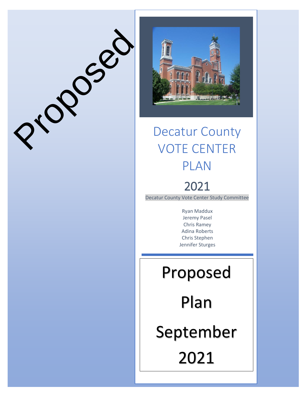

Proposed

## Decatur County VOTE CENTER PLAN

## 2021

Decatur County Vote Center Study Committee

Ryan Maddux Jeremy Pasel Chris Ramey Adina Roberts Chris Stephen Jennifer Sturges

# Proposed

Plan

September

2021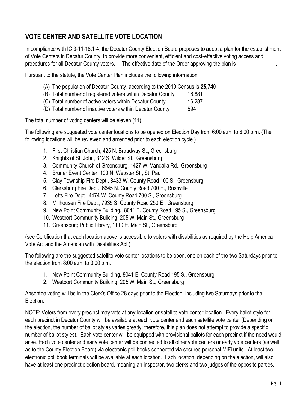### **VOTE CENTER AND SATELLITE VOTE LOCATION**

In compliance with IC 3-11-18.1-4, the Decatur County Election Board proposes to adopt a plan for the establishment of Vote Centers in Decatur County, to provide more convenient, efficient and cost-effective voting access and procedures for all Decatur County voters. The effective date of the Order approving the plan is

Pursuant to the statute, the Vote Center Plan includes the following information:

- (A) The population of Decatur County, according to the 2010 Census is **25,740**
- (B) Total number of registered voters within Decatur County. 16,881
- (C) Total number of active voters within Decatur County. 16,287
- (D) Total number of inactive voters within Decatur County. 594

The total number of voting centers will be eleven (11).

The following are suggested vote center locations to be opened on Election Day from 6:00 a.m. to 6:00 p.m. (The following locations will be reviewed and amended prior to each election cycle.)

- 1. First Christian Church, 425 N. Broadway St., Greensburg
- 2. Knights of St. John, 312 S. Wilder St., Greensburg
- 3. Community Church of Greensburg, 1427 W. Vandalia Rd., Greensburg
- 4. Bruner Event Center, 100 N. Webster St., St. Paul
- 5. Clay Township Fire Dept., 8433 W. County Road 100 S., Greensburg
- 6. Clarksburg Fire Dept., 6645 N. County Road 700 E., Rushville
- 7. Letts Fire Dept., 4474 W. County Road 700 S., Greensburg
- 8. Millhousen Fire Dept., 7935 S. County Road 250 E., Greensburg
- 9. New Point Community Building., 8041 E. County Road 195 S., Greensburg
- 10. Westport Community Building, 205 W. Main St., Greensburg
- 11. Greensburg Public Library, 1110 E. Main St., Greensburg

(see Certification that each location above is accessible to voters with disabilities as required by the Help America Vote Act and the American with Disabilities Act.)

The following are the suggested satellite vote center locations to be open, one on each of the two Saturdays prior to the election from 8:00 a.m. to 3:00 p.m.

- 1. New Point Community Building, 8041 E. County Road 195 S., Greensburg
- 2. Westport Community Building, 205 W. Main St., Greensburg

Absentee voting will be in the Clerk's Office 28 days prior to the Election, including two Saturdays prior to the Election.

NOTE: Voters from every precinct may vote at any location or satellite vote center location. Every ballot style for each precinct in Decatur County will be available at each vote center and each satellite vote center (Depending on the election, the number of ballot styles varies greatly; therefore, this plan does not attempt to provide a specific number of ballot styles). Each vote center will be equipped with provisional ballots for each precinct if the need would arise. Each vote center and early vote center will be connected to all other vote centers or early vote centers (as well as to the County Election Board) via electronic poll books connected via secured personal MiFi units. At least two electronic poll book terminals will be available at each location. Each location, depending on the election, will also have at least one precinct election board, meaning an inspector, two clerks and two judges of the opposite parties.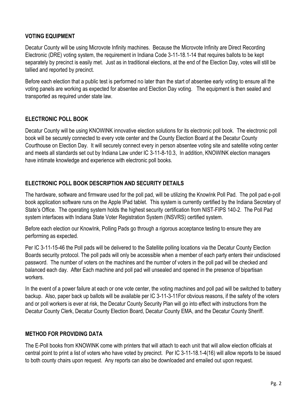#### **VOTING EQUIPMENT**

Decatur County will be using Microvote Infinity machines. Because the Microvote Infinity are Direct Recording Electronic (DRE) voting system, the requirement in Indiana Code 3-11-18.1-14 that requires ballots to be kept separately by precinct is easily met. Just as in traditional elections, at the end of the Election Day, votes will still be tallied and reported by precinct.

Before each election that a public test is performed no later than the start of absentee early voting to ensure all the voting panels are working as expected for absentee and Election Day voting. The equipment is then sealed and transported as required under state law.

#### **ELECTRONIC POLL BOOK**

Decatur County will be using KNOWINK innovative election solutions for its electronic poll book. The electronic poll book will be securely connected to every vote center and the County Election Board at the Decatur County Courthouse on Election Day. It will securely connect every in person absentee voting site and satellite voting center and meets all standards set out by Indiana Law under IC 3-11-8-10.3, In addition, KNOWINK election managers have intimate knowledge and experience with electronic poll books.

#### **ELECTRONIC POLL BOOK DESCRIPTION AND SECURITY DETAILS**

The hardware, software and firmware used for the poll pad, will be utilizing the KnowInk Poll Pad. The poll pad e-poll book application software runs on the Apple IPad tablet. This system is currently certified by the Indiana Secretary of State's Office. The operating system holds the highest security certification from NIST-FIPS 140-2. The Poll Pad system interfaces with Indiana State Voter Registration System (INSVRS) certified system.

Before each election our KnowInk, Polling Pads go through a rigorous acceptance testing to ensure they are performing as expected.

Per IC 3-11-15-46 the Poll pads will be delivered to the Satellite polling locations via the Decatur County Election Boards security protocol. The poll pads will only be accessible when a member of each party enters their undisclosed password. The number of voters on the machines and the number of voters in the poll pad will be checked and balanced each day. After Each machine and poll pad will unsealed and opened in the presence of bipartisan workers.

In the event of a power failure at each or one vote center, the voting machines and poll pad will be switched to battery backup. Also, paper back up ballots will be available per IC 3-11-3-11For obvious reasons, if the safety of the voters and or poll workers is ever at risk, the Decatur County Security Plan will go into effect with instructions from the Decatur County Clerk, Decatur County Election Board, Decatur County EMA, and the Decatur County Sheriff.

#### **METHOD FOR PROVIDING DATA**

The E-Poll books from KNOWINK come with printers that will attach to each unit that will allow election officials at central point to print a list of voters who have voted by precinct. Per IC 3-11-18.1-4(16) will allow reports to be issued to both county chairs upon request. Any reports can also be downloaded and emailed out upon request.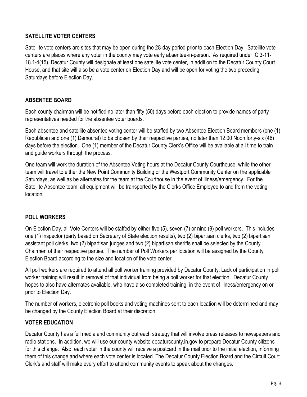#### **SATELLITE VOTER CENTERS**

Satellite vote centers are sites that may be open during the 28-day period prior to each Election Day. Satellite vote centers are places where any voter in the county may vote early absentee-in-person. As required under IC 3-11- 18.1-4(15), Decatur County will designate at least one satellite vote center, in addition to the Decatur County Court House, and that site will also be a vote center on Election Day and will be open for voting the two preceding Saturdays before Election Day.

#### **ABSENTEE BOARD**

Each county chairman will be notified no later than fifty (50) days before each election to provide names of party representatives needed for the absentee voter boards.

Each absentee and satellite absentee voting center will be staffed by two Absentee Election Board members (one (1) Republican and one (1) Democrat) to be chosen by their respective parties, no later than 12:00 Noon forty-six (46) days before the election. One (1) member of the Decatur County Clerk's Office will be available at all time to train and guide workers through the process.

One team will work the duration of the Absentee Voting hours at the Decatur County Courthouse, while the other team will travel to either the New Point Community Building or the Westport Community Center on the applicable Saturdays, as well as be alternates for the team at the Courthouse in the event of illness/emergency. For the Satellite Absentee team, all equipment will be transported by the Clerks Office Employee to and from the voting location.

#### **POLL WORKERS**

On Election Day, all Vote Centers will be staffed by either five (5), seven (7) or nine (9) poll workers. This includes one (1) Inspector (party based on Secretary of State election results), two (2) bipartisan clerks, two (2) bipartisan assistant poll clerks, two (2) bipartisan judges and two (2) bipartisan sheriffs shall be selected by the County Chairmen of their respective parties. The number of Poll Workers per location will be assigned by the County Election Board according to the size and location of the vote center.

All poll workers are required to attend all poll worker training provided by Decatur County. Lack of participation in poll worker training will result in removal of that individual from being a poll worker for that election. Decatur County hopes to also have alternates available, who have also completed training, in the event of illness/emergency on or prior to Election Day.

The number of workers, electronic poll books and voting machines sent to each location will be determined and may be changed by the County Election Board at their discretion.

#### **VOTER EDUCATION**

Decatur County has a full media and community outreach strategy that will involve press releases to newspapers and radio stations. In addition, we will use our county website decaturcounty.in.gov to prepare Decatur County citizens for this change. Also, each voter in the county will receive a postcard in the mail prior to the initial election, informing them of this change and where each vote center is located. The Decatur County Election Board and the Circuit Court Clerk's and staff will make every effort to attend community events to speak about the changes.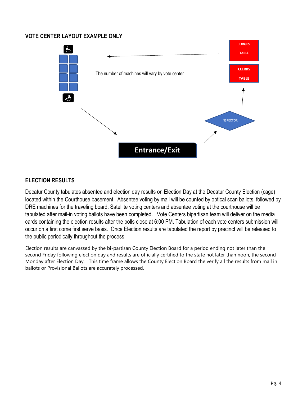#### **VOTE CENTER LAYOUT EXAMPLE ONLY**



#### **ELECTION RESULTS**

Decatur County tabulates absentee and election day results on Election Day at the Decatur County Election (cage) located within the Courthouse basement. Absentee voting by mail will be counted by optical scan ballots, followed by DRE machines for the traveling board. Satellite voting centers and absentee voting at the courthouse will be tabulated after mail-in voting ballots have been completed. Vote Centers bipartisan team will deliver on the media cards containing the election results after the polls close at 6:00 PM. Tabulation of each vote centers submission will occur on a first come first serve basis. Once Election results are tabulated the report by precinct will be released to the public periodically throughout the process.

Election results are canvassed by the bi-partisan County Election Board for a period ending not later than the second Friday following election day and results are officially certified to the state not later than noon, the second Monday after Election Day. This time frame allows the County Election Board the verify all the results from mail in ballots or Provisional Ballots are accurately processed.